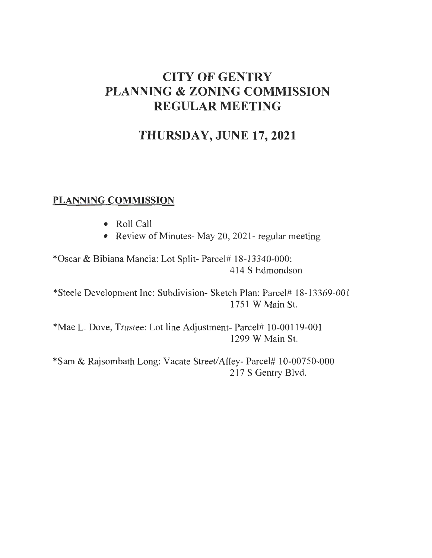## **CITY OF GENTRY PLANNING & ZONING COMMISSION REGULAR MEETING**

## **THURSDAY, JUNE 17,2021**

## **PLANNING COMMISSION**

- Roll Call
- Review of Minutes- May 20, 2021- regular meeting

\*Oscar & Bibiana Mancia: Lot Split- Parcel# 18-13340-000: 414 S Edmondson

\*Steele Development Inc: Subdivision- Sketch Plan: Parcel# 18-13369-001 1751 W Main St.

\*Mae L. Dove, Trustee: Lot line Adjustment- Parcel# 10-00119-001 1299 W Main St.

\*Sam & Rajsombath Long: Vacate Street/Alley- Parcel# 10-00750-000 217 S Gentry Blvd.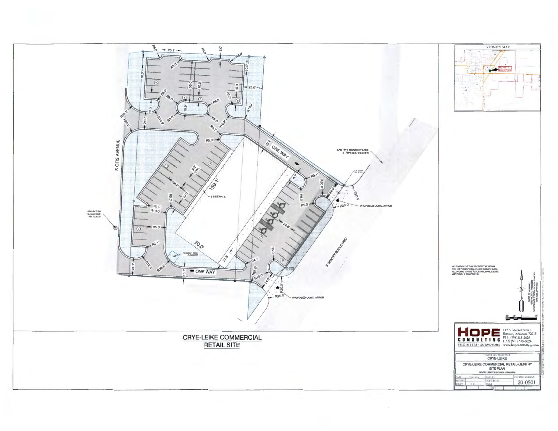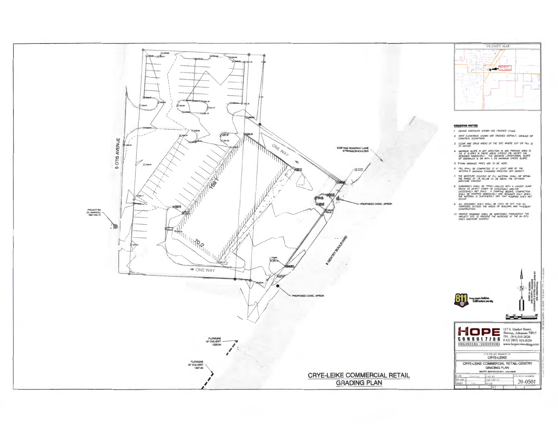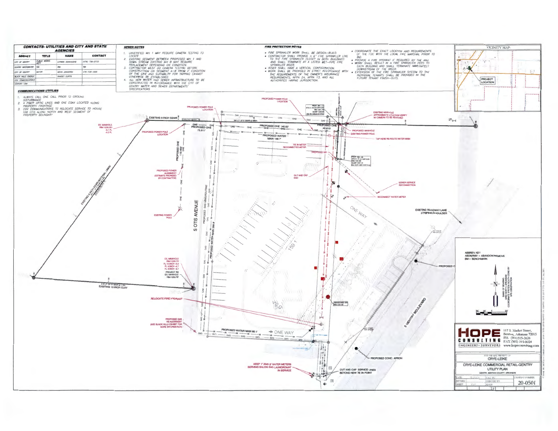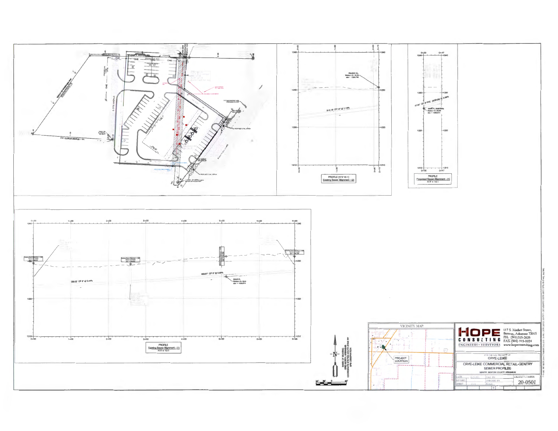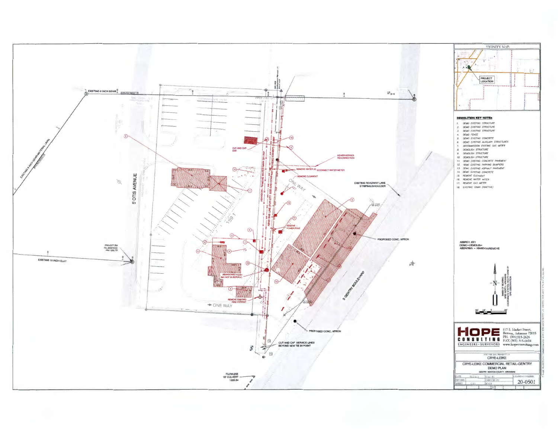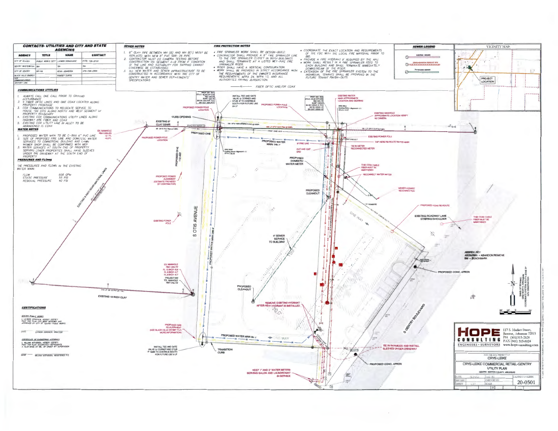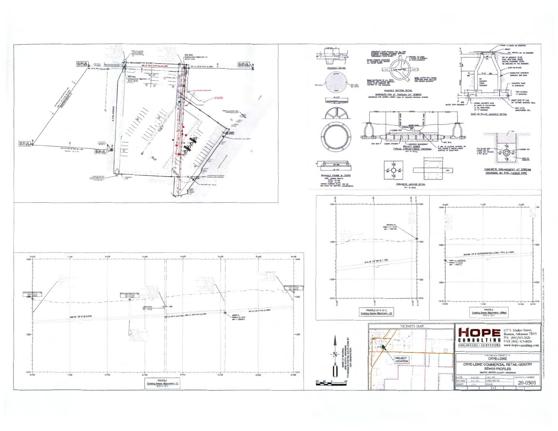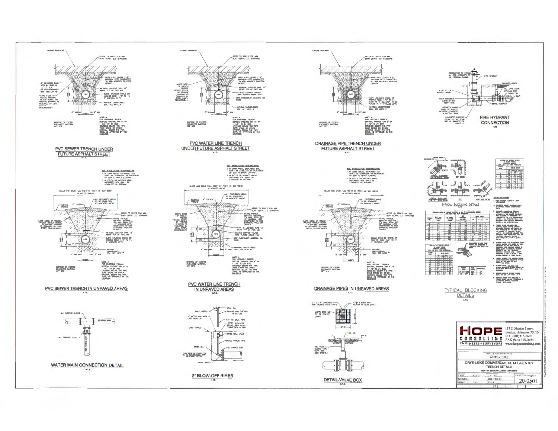